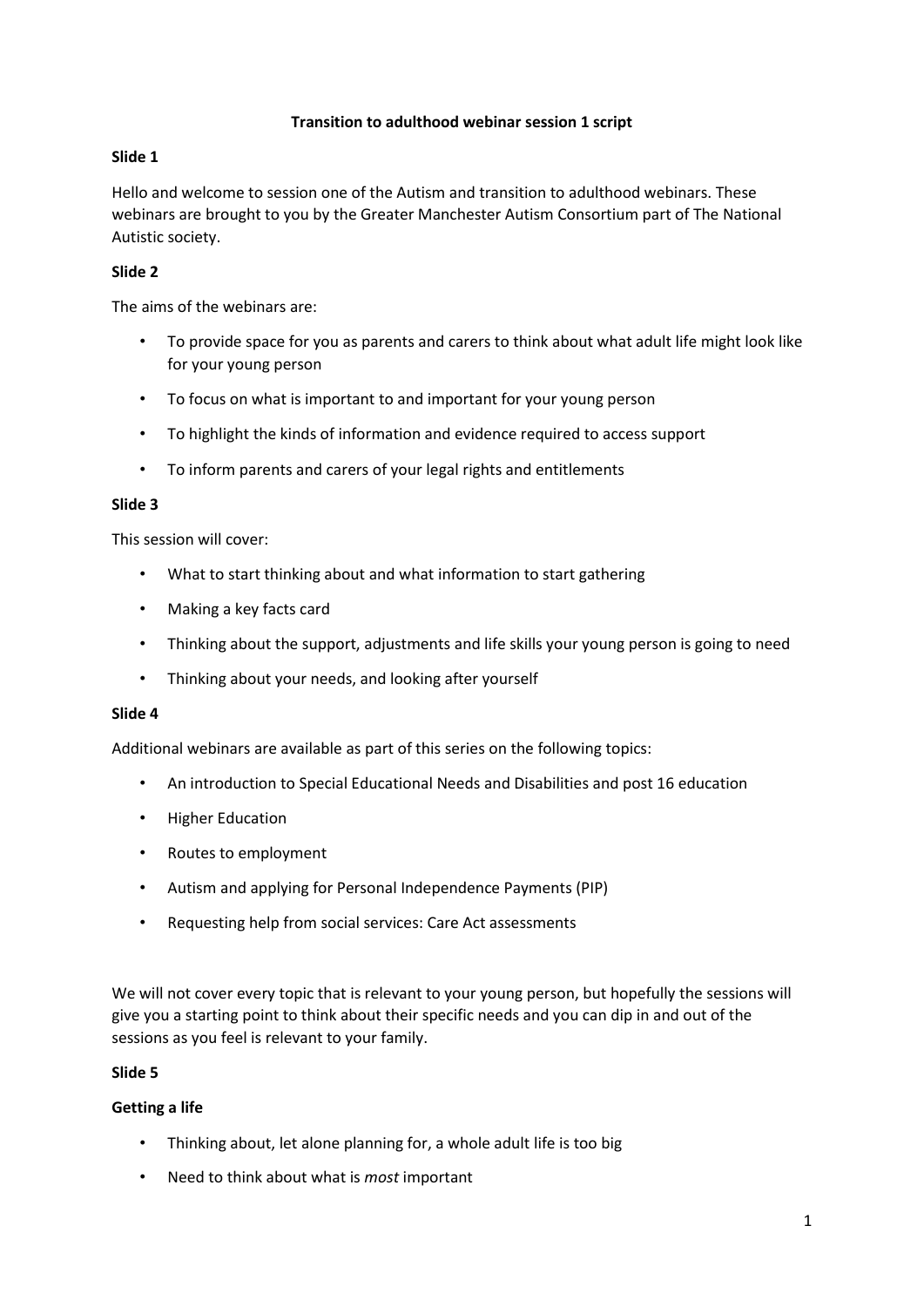### **Transition to adulthood webinar session 1 script**

## **Slide 1**

Hello and welcome to session one of the Autism and transition to adulthood webinars. These webinars are brought to you by the Greater Manchester Autism Consortium part of The National Autistic society.

## **Slide 2**

The aims of the webinars are:

- To provide space for you as parents and carers to think about what adult life might look like for your young person
- To focus on what is important to and important for your young person
- To highlight the kinds of information and evidence required to access support
- To inform parents and carers of your legal rights and entitlements

# **Slide 3**

This session will cover:

- What to start thinking about and what information to start gathering
- Making a key facts card
- Thinking about the support, adjustments and life skills your young person is going to need
- Thinking about your needs, and looking after yourself

### **Slide 4**

Additional webinars are available as part of this series on the following topics:

- An introduction to Special Educational Needs and Disabilities and post 16 education
- Higher Education
- Routes to employment
- Autism and applying for Personal Independence Payments (PIP)
- Requesting help from social services: Care Act assessments

We will not cover every topic that is relevant to your young person, but hopefully the sessions will give you a starting point to think about their specific needs and you can dip in and out of the sessions as you feel is relevant to your family.

### **Slide 5**

### **Getting a life**

- Thinking about, let alone planning for, a whole adult life is too big
- Need to think about what is *most* important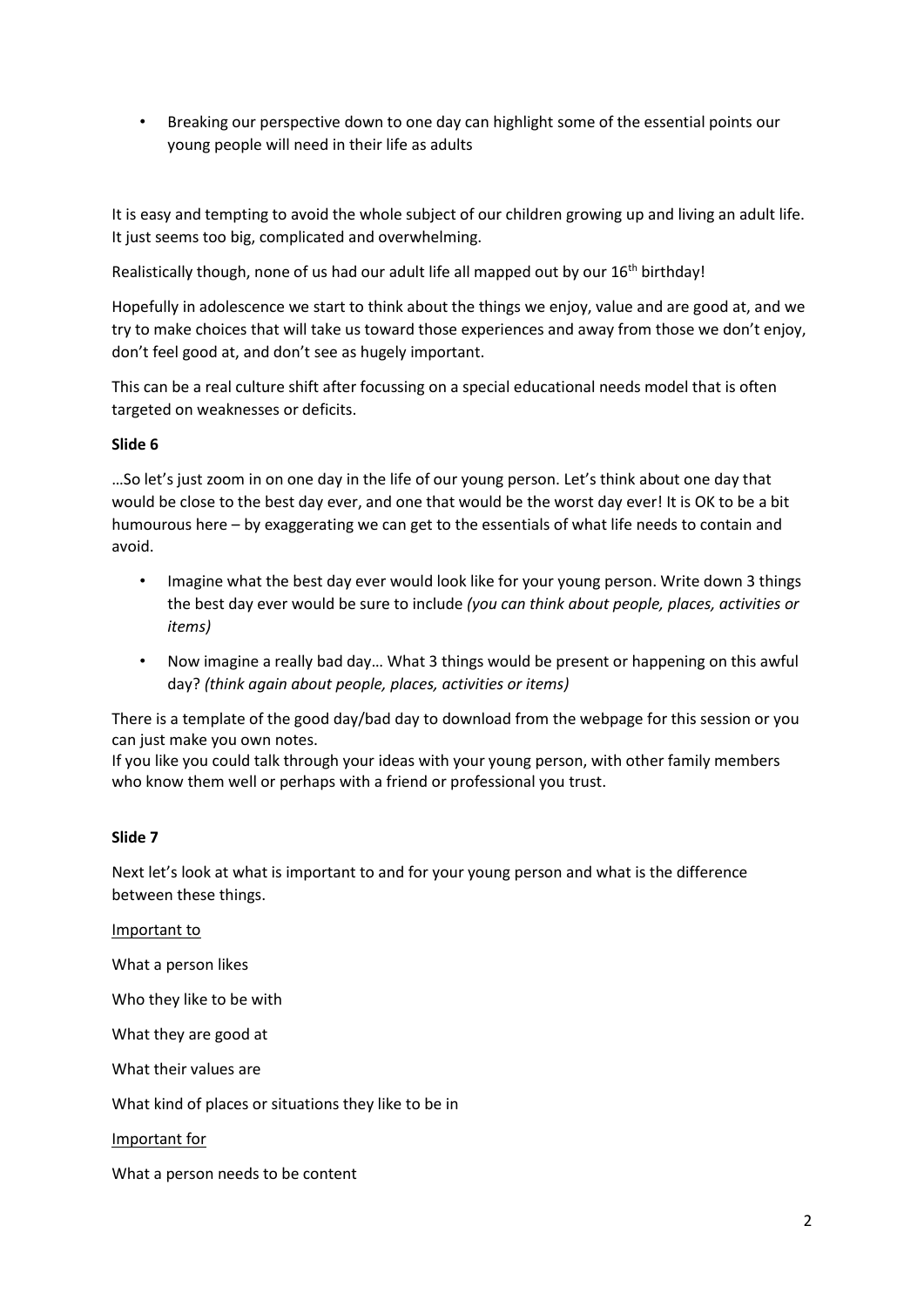• Breaking our perspective down to one day can highlight some of the essential points our young people will need in their life as adults

It is easy and tempting to avoid the whole subject of our children growing up and living an adult life. It just seems too big, complicated and overwhelming.

Realistically though, none of us had our adult life all mapped out by our 16<sup>th</sup> birthday!

Hopefully in adolescence we start to think about the things we enjoy, value and are good at, and we try to make choices that will take us toward those experiences and away from those we don't enjoy, don't feel good at, and don't see as hugely important.

This can be a real culture shift after focussing on a special educational needs model that is often targeted on weaknesses or deficits.

### **Slide 6**

…So let's just zoom in on one day in the life of our young person. Let's think about one day that would be close to the best day ever, and one that would be the worst day ever! It is OK to be a bit humourous here – by exaggerating we can get to the essentials of what life needs to contain and avoid.

- Imagine what the best day ever would look like for your young person. Write down 3 things the best day ever would be sure to include *(you can think about people, places, activities or items)*
- Now imagine a really bad day… What 3 things would be present or happening on this awful day? *(think again about people, places, activities or items)*

There is a template of the good day/bad day to download from the webpage for this session or you can just make you own notes.

If you like you could talk through your ideas with your young person, with other family members who know them well or perhaps with a friend or professional you trust.

### **Slide 7**

Next let's look at what is important to and for your young person and what is the difference between these things.

Important to

What a person likes

Who they like to be with

What they are good at

What their values are

What kind of places or situations they like to be in

Important for

What a person needs to be content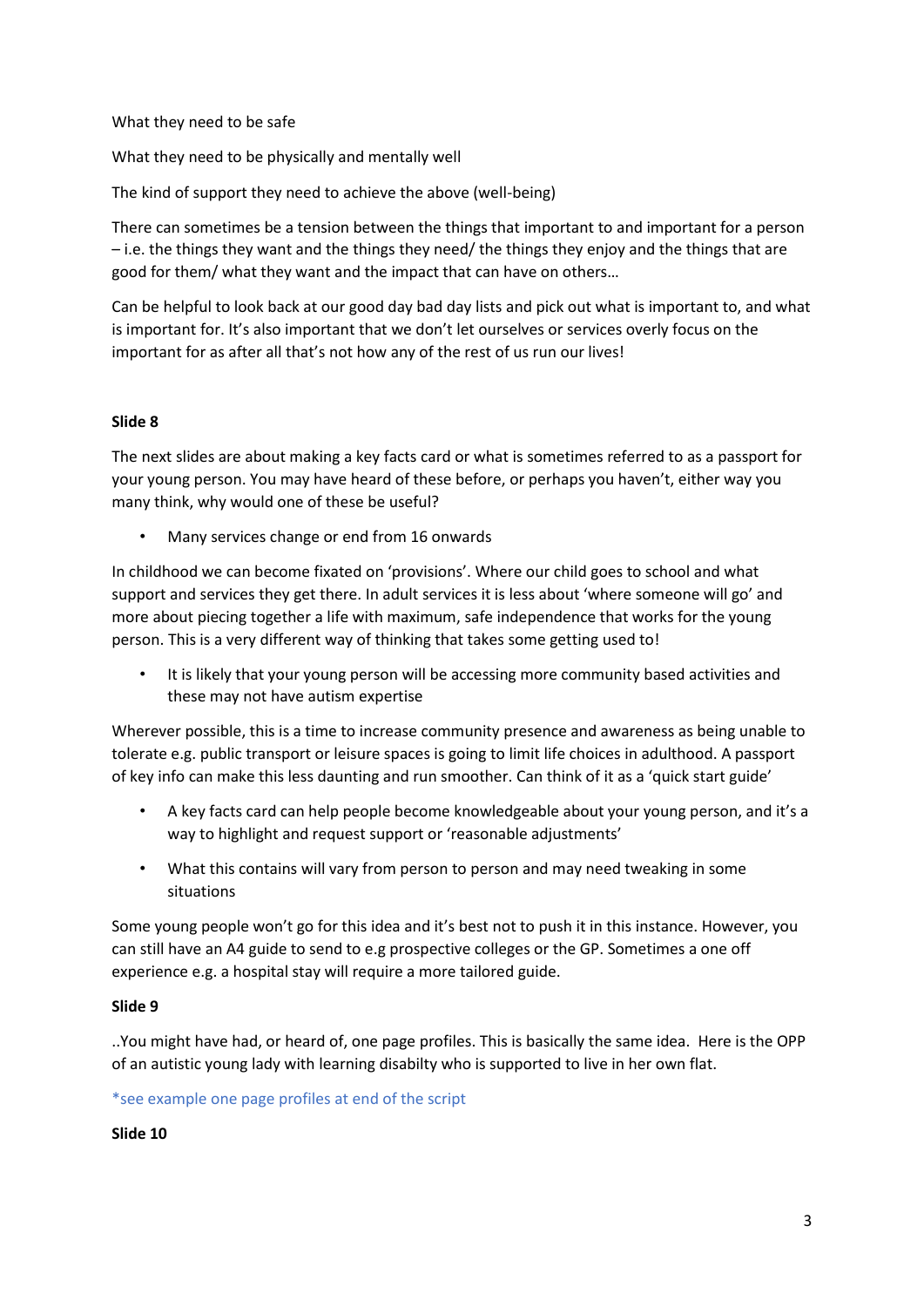What they need to be safe

What they need to be physically and mentally well

The kind of support they need to achieve the above (well-being)

There can sometimes be a tension between the things that important to and important for a person – i.e. the things they want and the things they need/ the things they enjoy and the things that are good for them/ what they want and the impact that can have on others…

Can be helpful to look back at our good day bad day lists and pick out what is important to, and what is important for. It's also important that we don't let ourselves or services overly focus on the important for as after all that's not how any of the rest of us run our lives!

### **Slide 8**

The next slides are about making a key facts card or what is sometimes referred to as a passport for your young person. You may have heard of these before, or perhaps you haven't, either way you many think, why would one of these be useful?

• Many services change or end from 16 onwards

In childhood we can become fixated on 'provisions'. Where our child goes to school and what support and services they get there. In adult services it is less about 'where someone will go' and more about piecing together a life with maximum, safe independence that works for the young person. This is a very different way of thinking that takes some getting used to!

• It is likely that your young person will be accessing more community based activities and these may not have autism expertise

Wherever possible, this is a time to increase community presence and awareness as being unable to tolerate e.g. public transport or leisure spaces is going to limit life choices in adulthood. A passport of key info can make this less daunting and run smoother. Can think of it as a 'quick start guide'

- A key facts card can help people become knowledgeable about your young person, and it's a way to highlight and request support or 'reasonable adjustments'
- What this contains will vary from person to person and may need tweaking in some situations

Some young people won't go for this idea and it's best not to push it in this instance. However, you can still have an A4 guide to send to e.g prospective colleges or the GP. Sometimes a one off experience e.g. a hospital stay will require a more tailored guide.

# **Slide 9**

..You might have had, or heard of, one page profiles. This is basically the same idea. Here is the OPP of an autistic young lady with learning disabilty who is supported to live in her own flat.

### \*see example one page profiles at end of the script

### **Slide 10**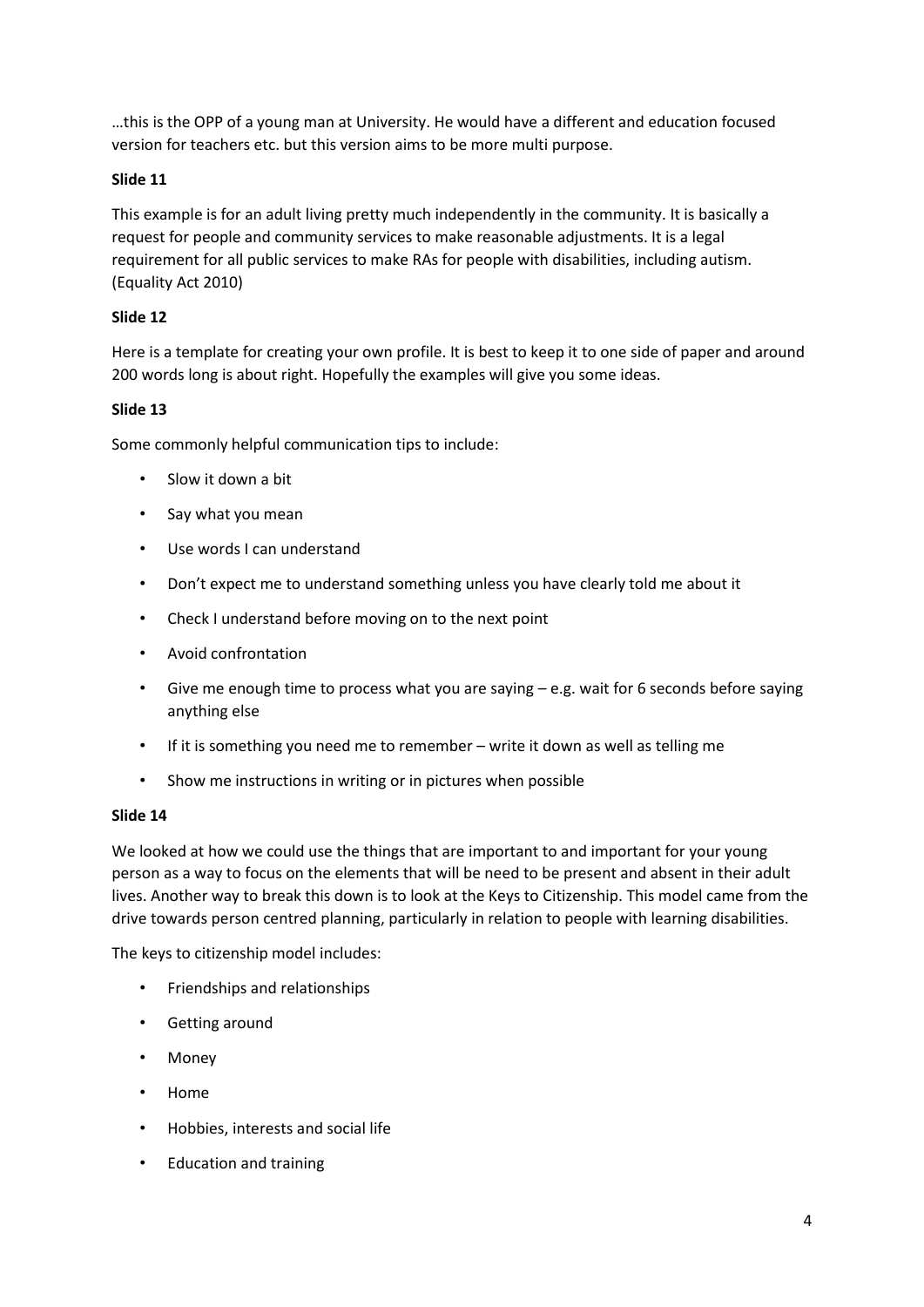…this is the OPP of a young man at University. He would have a different and education focused version for teachers etc. but this version aims to be more multi purpose.

# **Slide 11**

This example is for an adult living pretty much independently in the community. It is basically a request for people and community services to make reasonable adjustments. It is a legal requirement for all public services to make RAs for people with disabilities, including autism. (Equality Act 2010)

# **Slide 12**

Here is a template for creating your own profile. It is best to keep it to one side of paper and around 200 words long is about right. Hopefully the examples will give you some ideas.

# **Slide 13**

Some commonly helpful communication tips to include:

- Slow it down a bit
- Say what you mean
- Use words I can understand
- Don't expect me to understand something unless you have clearly told me about it
- Check I understand before moving on to the next point
- Avoid confrontation
- Give me enough time to process what you are saying e.g. wait for 6 seconds before saying anything else
- If it is something you need me to remember write it down as well as telling me
- Show me instructions in writing or in pictures when possible

# **Slide 14**

We looked at how we could use the things that are important to and important for your young person as a way to focus on the elements that will be need to be present and absent in their adult lives. Another way to break this down is to look at the Keys to Citizenship. This model came from the drive towards person centred planning, particularly in relation to people with learning disabilities.

The keys to citizenship model includes:

- Friendships and relationships
- Getting around
- Money
- Home
- Hobbies, interests and social life
- Education and training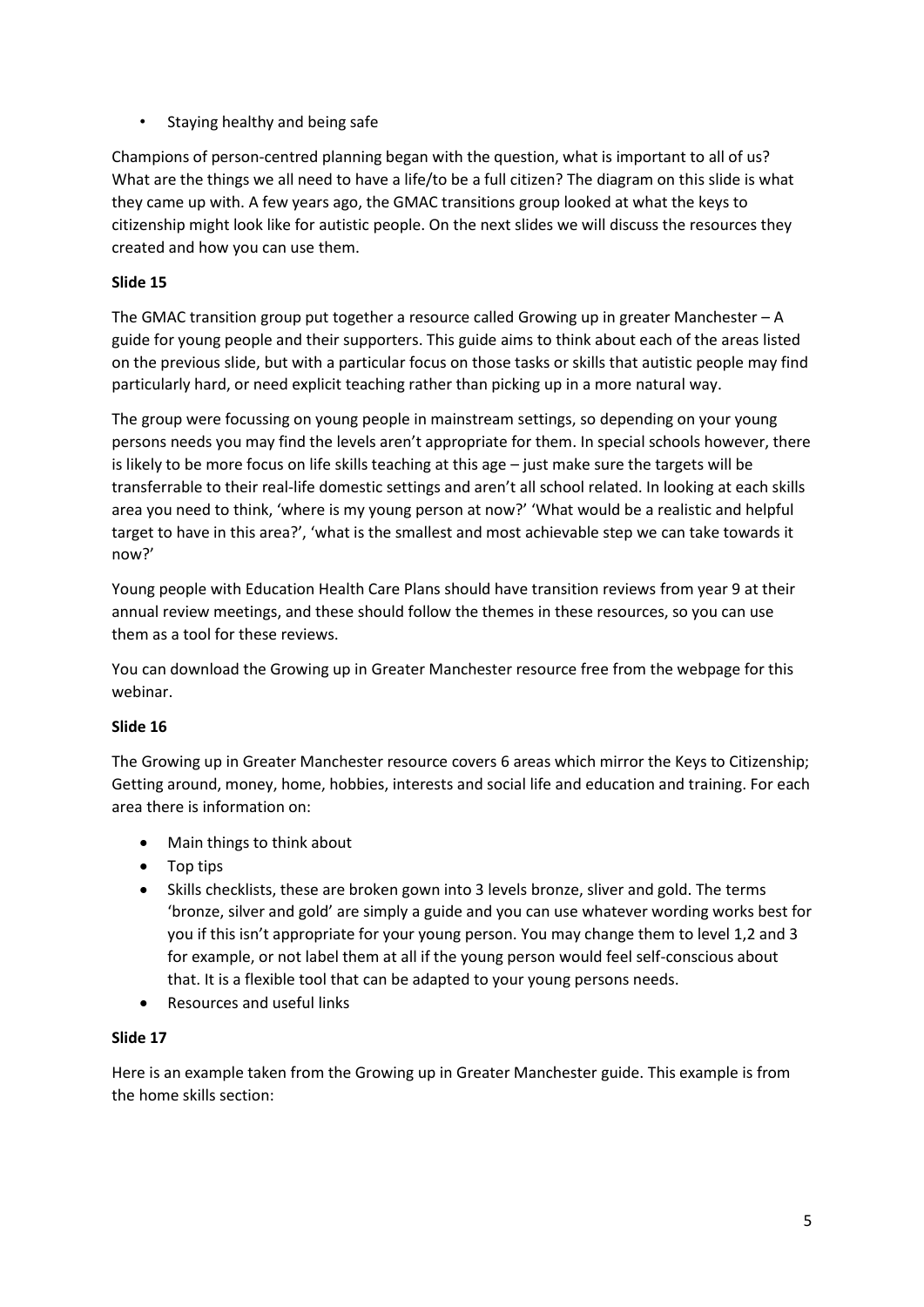• Staying healthy and being safe

Champions of person-centred planning began with the question, what is important to all of us? What are the things we all need to have a life/to be a full citizen? The diagram on this slide is what they came up with. A few years ago, the GMAC transitions group looked at what the keys to citizenship might look like for autistic people. On the next slides we will discuss the resources they created and how you can use them.

# **Slide 15**

The GMAC transition group put together a resource called Growing up in greater Manchester – A guide for young people and their supporters. This guide aims to think about each of the areas listed on the previous slide, but with a particular focus on those tasks or skills that autistic people may find particularly hard, or need explicit teaching rather than picking up in a more natural way.

The group were focussing on young people in mainstream settings, so depending on your young persons needs you may find the levels aren't appropriate for them. In special schools however, there is likely to be more focus on life skills teaching at this age – just make sure the targets will be transferrable to their real-life domestic settings and aren't all school related. In looking at each skills area you need to think, 'where is my young person at now?' 'What would be a realistic and helpful target to have in this area?', 'what is the smallest and most achievable step we can take towards it now?'

Young people with Education Health Care Plans should have transition reviews from year 9 at their annual review meetings, and these should follow the themes in these resources, so you can use them as a tool for these reviews.

You can download the Growing up in Greater Manchester resource free from the webpage for this webinar.

# **Slide 16**

The Growing up in Greater Manchester resource covers 6 areas which mirror the Keys to Citizenship; Getting around, money, home, hobbies, interests and social life and education and training. For each area there is information on:

- Main things to think about
- Top tips
- Skills checklists, these are broken gown into 3 levels bronze, sliver and gold. The terms 'bronze, silver and gold' are simply a guide and you can use whatever wording works best for you if this isn't appropriate for your young person. You may change them to level 1,2 and 3 for example, or not label them at all if the young person would feel self-conscious about that. It is a flexible tool that can be adapted to your young persons needs.
- Resources and useful links

# **Slide 17**

Here is an example taken from the Growing up in Greater Manchester guide. This example is from the home skills section: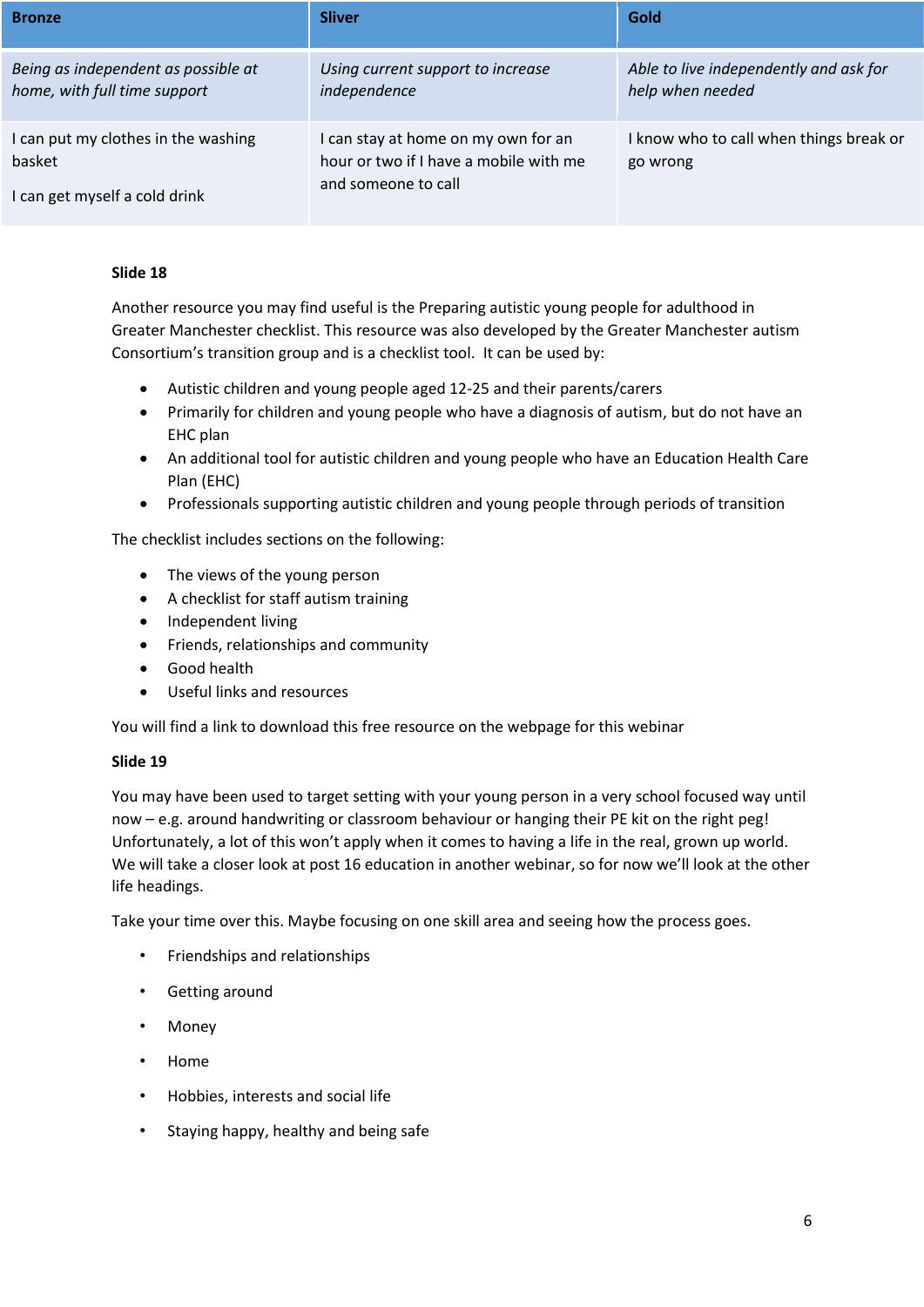| <b>Bronze</b>                                                                  | <b>Sliver</b>                                                                                        | Gold                                                       |
|--------------------------------------------------------------------------------|------------------------------------------------------------------------------------------------------|------------------------------------------------------------|
| Being as independent as possible at<br>home, with full time support            | Using current support to increase<br>independence                                                    | Able to live independently and ask for<br>help when needed |
| I can put my clothes in the washing<br>basket<br>I can get myself a cold drink | I can stay at home on my own for an<br>hour or two if I have a mobile with me<br>and someone to call | I know who to call when things break or<br>go wrong        |

# **Slide 18**

Another resource you may find useful is the Preparing autistic young people for adulthood in Greater Manchester checklist. This resource was also developed by the Greater Manchester autism Consortium's transition group and is a checklist tool. It can be used by:

- Autistic children and young people aged 12-25 and their parents/carers
- Primarily for children and young people who have a diagnosis of autism, but do not have an EHC plan
- An additional tool for autistic children and young people who have an Education Health Care Plan (EHC)
- Professionals supporting autistic children and young people through periods of transition

The checklist includes sections on the following:

- The views of the young person
- A checklist for staff autism training
- Independent living
- Friends, relationships and community
- Good health
- Useful links and resources

You will find a link to download this free resource on the webpage for this webinar

# **Slide 19**

You may have been used to target setting with your young person in a very school focused way until now – e.g. around handwriting or classroom behaviour or hanging their PE kit on the right peg! Unfortunately, a lot of this won't apply when it comes to having a life in the real, grown up world. We will take a closer look at post 16 education in another webinar, so for now we'll look at the other life headings.

Take your time over this. Maybe focusing on one skill area and seeing how the process goes.

- Friendships and relationships
- Getting around
- Money
- Home
- Hobbies, interests and social life
- Staying happy, healthy and being safe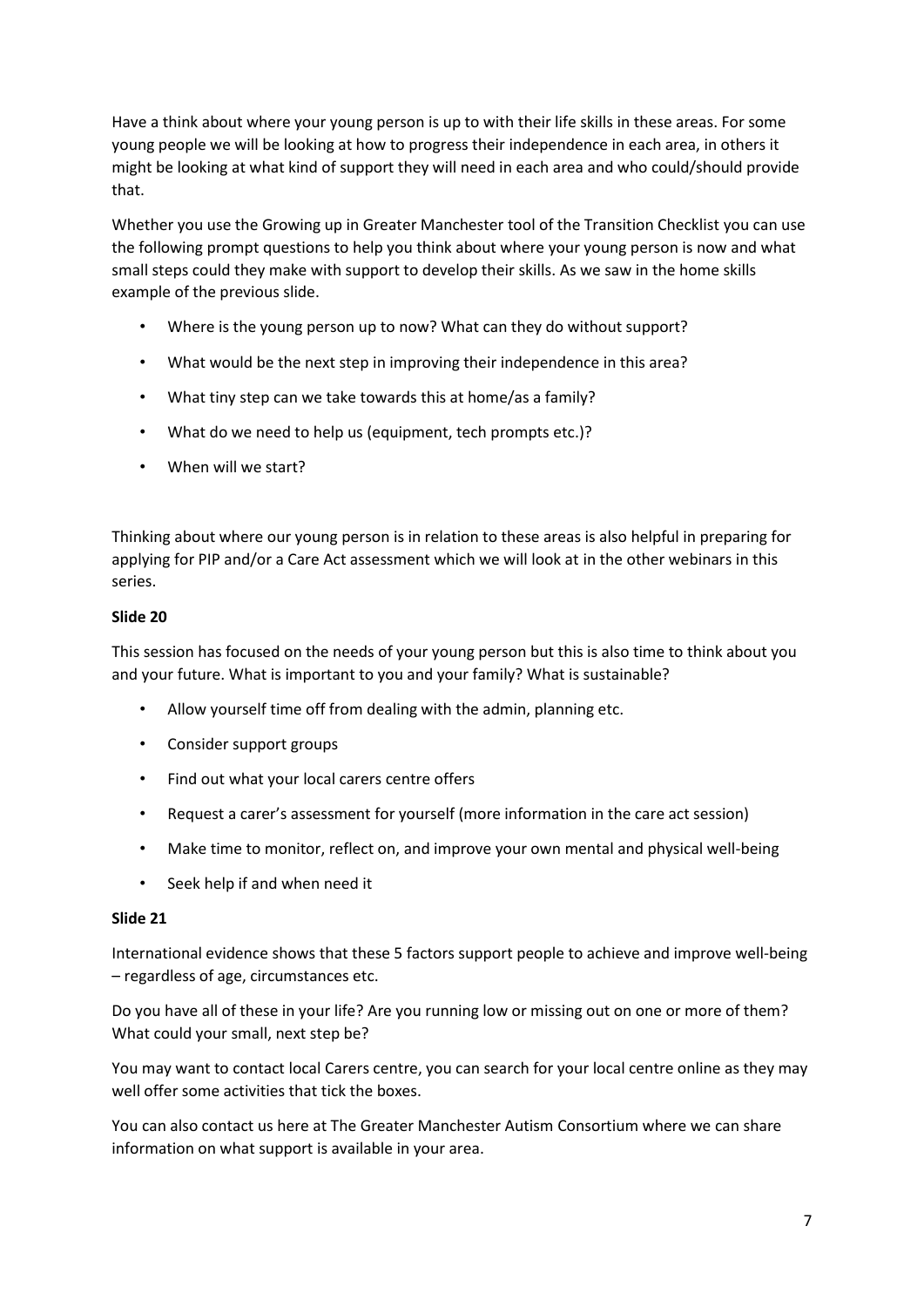Have a think about where your young person is up to with their life skills in these areas. For some young people we will be looking at how to progress their independence in each area, in others it might be looking at what kind of support they will need in each area and who could/should provide that.

Whether you use the Growing up in Greater Manchester tool of the Transition Checklist you can use the following prompt questions to help you think about where your young person is now and what small steps could they make with support to develop their skills. As we saw in the home skills example of the previous slide.

- Where is the young person up to now? What can they do without support?
- What would be the next step in improving their independence in this area?
- What tiny step can we take towards this at home/as a family?
- What do we need to help us (equipment, tech prompts etc.)?
- When will we start?

Thinking about where our young person is in relation to these areas is also helpful in preparing for applying for PIP and/or a Care Act assessment which we will look at in the other webinars in this series.

# **Slide 20**

This session has focused on the needs of your young person but this is also time to think about you and your future. What is important to you and your family? What is sustainable?

- Allow yourself time off from dealing with the admin, planning etc.
- Consider support groups
- Find out what your local carers centre offers
- Request a carer's assessment for yourself (more information in the care act session)
- Make time to monitor, reflect on, and improve your own mental and physical well-being
- Seek help if and when need it

### **Slide 21**

International evidence shows that these 5 factors support people to achieve and improve well-being – regardless of age, circumstances etc.

Do you have all of these in your life? Are you running low or missing out on one or more of them? What could your small, next step be?

You may want to contact local Carers centre, you can search for your local centre online as they may well offer some activities that tick the boxes.

You can also contact us here at The Greater Manchester Autism Consortium where we can share information on what support is available in your area.